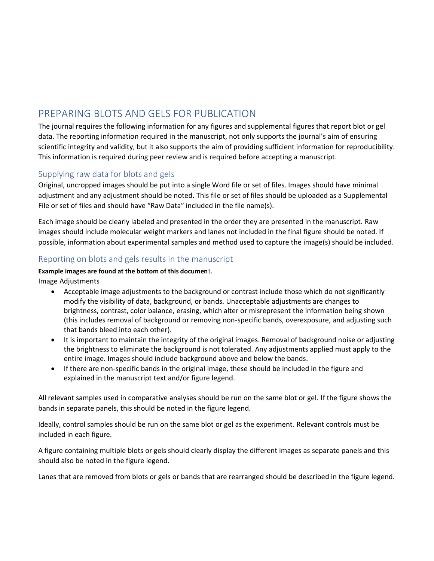## PREPARING BLOTS AND GELS FOR PUBLICATION

The journal requires the following information for any figures and supplemental figures that report blot or gel data. The reporting information required in the manuscript, not only supports the journal's aim of ensuring scientific integrity and validity, but it also supports the aim of providing sufficient information for reproducibility. This information is required during peer review and is required before accepting a manuscript.

## Supplying raw data for blots and gels

Original, uncropped images should be put into a single Word file or set of files. Images should have minimal adjustment and any adjustment should be noted. This file or set of files should be uploaded as a Supplemental File or set of files and should have "Raw Data" included in the file name(s).

Each image should be clearly labeled and presented in the order they are presented in the manuscript. Raw images should include molecular weight markers and lanes not included in the final figure should be noted. If possible, information about experimental samples and method used to capture the image(s) should be included.

## Reporting on blots and gels results in the manuscript

## **Example images are found at the bottom of this documen**t.

Image Adjustments

- Acceptable image adjustments to the background or contrast include those which do not significantly modify the visibility of data, background, or bands. Unacceptable adjustments are changes to brightness, contrast, color balance, erasing, which alter or misrepresent the information being shown (this includes removal of background or removing non-specific bands, overexposure, and adjusting such that bands bleed into each other).
- It is important to maintain the integrity of the original images. Removal of background noise or adjusting the brightness to eliminate the background is not tolerated. Any adjustments applied must apply to the entire image. Images should include background above and below the bands.
- If there are non-specific bands in the original image, these should be included in the figure and explained in the manuscript text and/or figure legend.

All relevant samples used in comparative analyses should be run on the same blot or gel. If the figure shows the bands in separate panels, this should be noted in the figure legend.

Ideally, control samples should be run on the same blot or gel as the experiment. Relevant controls must be included in each figure.

A figure containing multiple blots or gels should clearly display the different images as separate panels and this should also be noted in the figure legend.

Lanes that are removed from blots or gels or bands that are rearranged should be described in the figure legend.